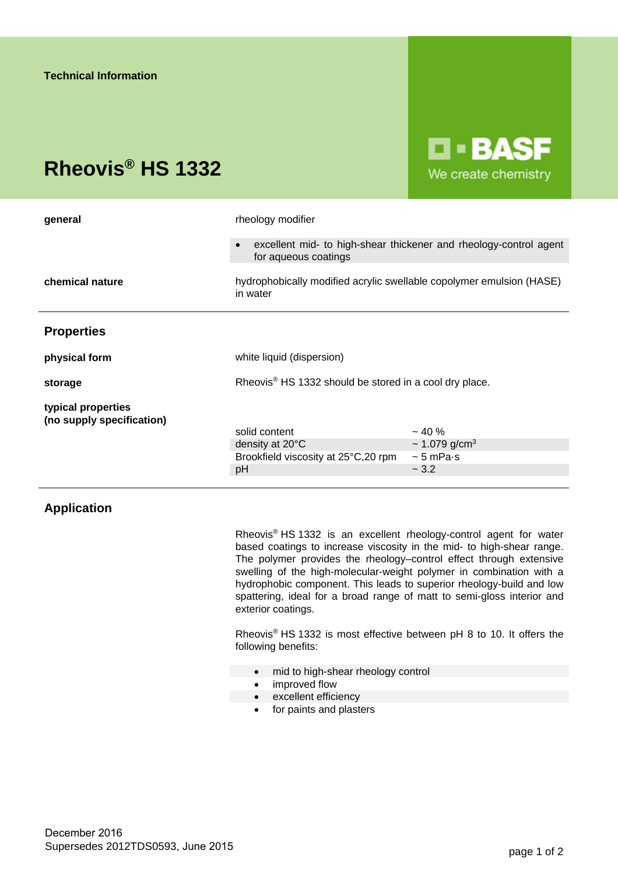# **Rheovis® HS 1332**



| general                                         | rheology modifier                                                                |                                                                   |
|-------------------------------------------------|----------------------------------------------------------------------------------|-------------------------------------------------------------------|
|                                                 | for aqueous coatings                                                             | excellent mid- to high-shear thickener and rheology-control agent |
| chemical nature                                 | hydrophobically modified acrylic swellable copolymer emulsion (HASE)<br>in water |                                                                   |
| <b>Properties</b>                               |                                                                                  |                                                                   |
| physical form                                   | white liquid (dispersion)                                                        |                                                                   |
| storage                                         | Rheovis <sup>®</sup> HS 1332 should be stored in a cool dry place.               |                                                                   |
| typical properties<br>(no supply specification) |                                                                                  |                                                                   |
|                                                 | solid content                                                                    | $~10\%$                                                           |
|                                                 | density at 20°C                                                                  | $\sim$ 1.079 g/cm <sup>3</sup>                                    |
|                                                 |                                                                                  | $\sim$ 5 mPa $\cdot$ s                                            |
|                                                 | pH                                                                               | ~2.2                                                              |
|                                                 | Brookfield viscosity at 25°C, 20 rpm                                             |                                                                   |

## **Application**

Rheovis® HS 1332 is an excellent rheology-control agent for water based coatings to increase viscosity in the mid- to high-shear range. The polymer provides the rheology–control effect through extensive swelling of the high-molecular-weight polymer in combination with a hydrophobic component. This leads to superior rheology-build and low spattering, ideal for a broad range of matt to semi-gloss interior and exterior coatings.

Rheovis® HS 1332 is most effective between pH 8 to 10. It offers the following benefits:

- mid to high-shear rheology control
- improved flow
- excellent efficiency
	- for paints and plasters